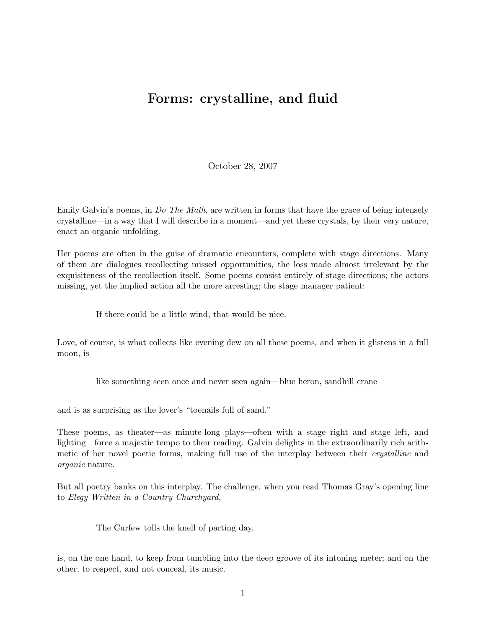## Forms: crystalline, and fluid

October 28, 2007

Emily Galvin's poems, in *Do The Math*, are written in forms that have the grace of being intensely crystalline—in a way that I will describe in a moment—and yet these crystals, by their very nature, enact an organic unfolding.

Her poems are often in the guise of dramatic encounters, complete with stage directions. Many of them are dialogues recollecting missed opportunities, the loss made almost irrelevant by the exquisiteness of the recollection itself. Some poems consist entirely of stage directions; the actors missing, yet the implied action all the more arresting; the stage manager patient:

If there could be a little wind, that would be nice.

Love, of course, is what collects like evening dew on all these poems, and when it glistens in a full moon, is

like something seen once and never seen again—blue heron, sandhill crane

and is as surprising as the lover's "toenails full of sand."

These poems, as theater—as minute-long plays—often with a stage right and stage left, and lighting—force a majestic tempo to their reading. Galvin delights in the extraordinarily rich arithmetic of her novel poetic forms, making full use of the interplay between their crystalline and organic nature.

But all poetry banks on this interplay. The challenge, when you read Thomas Gray's opening line to Elegy Written in a Country Churchyard,

The Curfew tolls the knell of parting day,

is, on the one hand, to keep from tumbling into the deep groove of its intoning meter; and on the other, to respect, and not conceal, its music.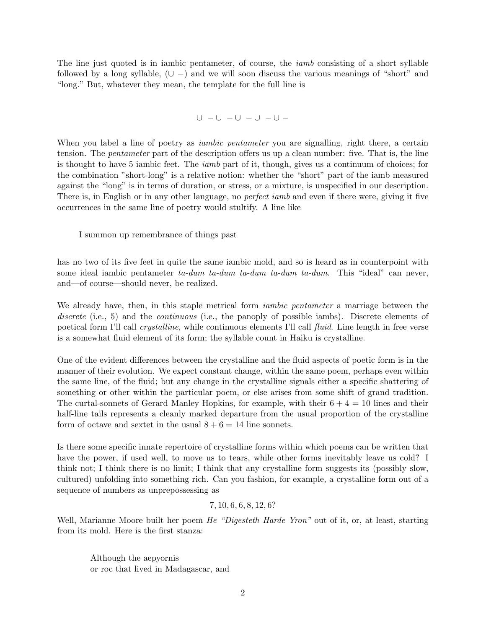The line just quoted is in iambic pentameter, of course, the *iamb* consisting of a short syllable followed by a long syllable,  $(\cup -)$  and we will soon discuss the various meanings of "short" and "long." But, whatever they mean, the template for the full line is

$$
\cup \ -\cup \ -\cup \ -\cup \ -
$$

When you label a line of poetry as *iambic pentameter* you are signalling, right there, a certain tension. The pentameter part of the description offers us up a clean number: five. That is, the line is thought to have 5 iambic feet. The iamb part of it, though, gives us a continuum of choices; for the combination "short-long" is a relative notion: whether the "short" part of the iamb measured against the "long" is in terms of duration, or stress, or a mixture, is unspecified in our description. There is, in English or in any other language, no *perfect iamb* and even if there were, giving it five occurrences in the same line of poetry would stultify. A line like

I summon up remembrance of things past

has no two of its five feet in quite the same iambic mold, and so is heard as in counterpoint with some ideal iambic pentameter  $ta-dum$   $ta-dum$   $ta-dum$   $ta-dum$ . This "ideal" can never, and—of course—should never, be realized.

We already have, then, in this staple metrical form *iambic pentameter* a marriage between the discrete (i.e., 5) and the *continuous* (i.e., the panoply of possible iambs). Discrete elements of poetical form I'll call crystalline, while continuous elements I'll call fluid. Line length in free verse is a somewhat fluid element of its form; the syllable count in Haiku is crystalline.

One of the evident differences between the crystalline and the fluid aspects of poetic form is in the manner of their evolution. We expect constant change, within the same poem, perhaps even within the same line, of the fluid; but any change in the crystalline signals either a specific shattering of something or other within the particular poem, or else arises from some shift of grand tradition. The curtal-sonnets of Gerard Manley Hopkins, for example, with their  $6 + 4 = 10$  lines and their half-line tails represents a cleanly marked departure from the usual proportion of the crystalline form of octave and sextet in the usual  $8 + 6 = 14$  line sonnets.

Is there some specific innate repertoire of crystalline forms within which poems can be written that have the power, if used well, to move us to tears, while other forms inevitably leave us cold? I think not; I think there is no limit; I think that any crystalline form suggests its (possibly slow, cultured) unfolding into something rich. Can you fashion, for example, a crystalline form out of a sequence of numbers as unprepossessing as

## 7, 10, 6, 6, 8, 12, 6?

Well, Marianne Moore built her poem *He "Digesteth Harde Yron"* out of it, or, at least, starting from its mold. Here is the first stanza:

Although the aepyornis or roc that lived in Madagascar, and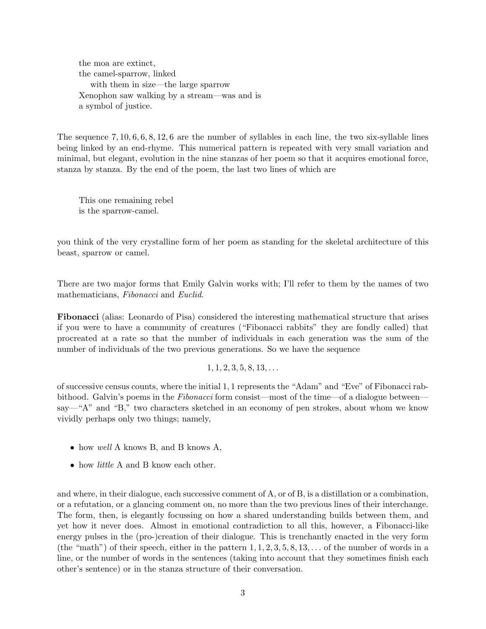the moa are extinct, the camel-sparrow, linked with them in size—the large sparrow Xenophon saw walking by a stream—was and is a symbol of justice.

The sequence 7, 10, 6, 6, 8, 12, 6 are the number of syllables in each line, the two six-syllable lines being linked by an end-rhyme. This numerical pattern is repeated with very small variation and minimal, but elegant, evolution in the nine stanzas of her poem so that it acquires emotional force, stanza by stanza. By the end of the poem, the last two lines of which are

This one remaining rebel is the sparrow-camel.

you think of the very crystalline form of her poem as standing for the skeletal architecture of this beast, sparrow or camel.

There are two major forms that Emily Galvin works with; I'll refer to them by the names of two mathematicians, Fibonacci and Euclid.

Fibonacci (alias: Leonardo of Pisa) considered the interesting mathematical structure that arises if you were to have a community of creatures ("Fibonacci rabbits" they are fondly called) that procreated at a rate so that the number of individuals in each generation was the sum of the number of individuals of the two previous generations. So we have the sequence

 $1, 1, 2, 3, 5, 8, 13, \ldots$ 

of successive census counts, where the initial 1, 1 represents the "Adam" and "Eve" of Fibonacci rabbithood. Galvin's poems in the Fibonacci form consist—most of the time—of a dialogue between say—"A" and "B," two characters sketched in an economy of pen strokes, about whom we know vividly perhaps only two things; namely,

- how well A knows B, and B knows A,
- how *little* A and B know each other.

and where, in their dialogue, each successive comment of A, or of B, is a distillation or a combination, or a refutation, or a glancing comment on, no more than the two previous lines of their interchange. The form, then, is elegantly focussing on how a shared understanding builds between them, and yet how it never does. Almost in emotional contradiction to all this, however, a Fibonacci-like energy pulses in the (pro-)creation of their dialogue. This is trenchantly enacted in the very form (the "math") of their speech, either in the pattern  $1, 1, 2, 3, 5, 8, 13, \ldots$  of the number of words in a line, or the number of words in the sentences (taking into account that they sometimes finish each other's sentence) or in the stanza structure of their conversation.